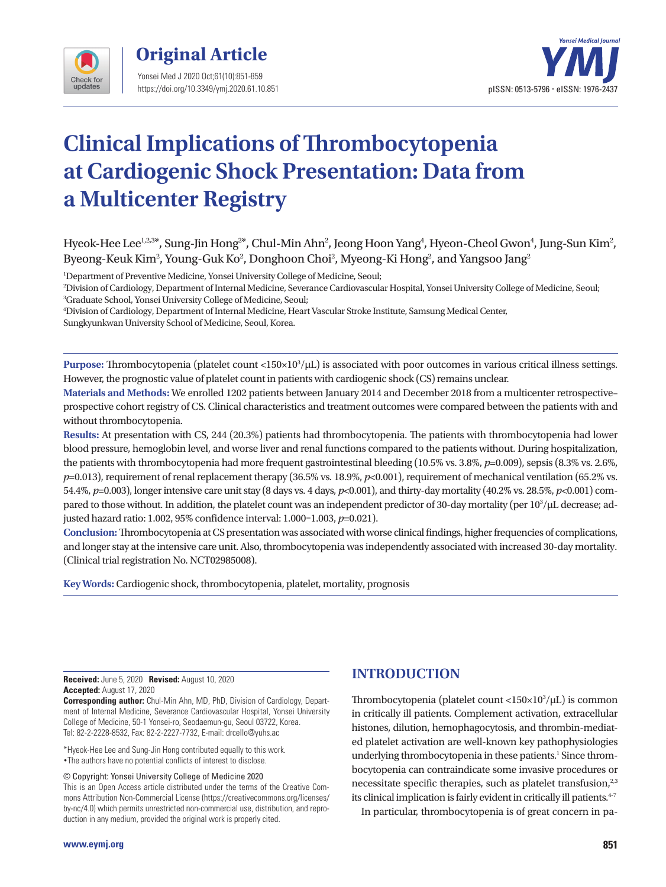



# **Clinical Implications of Thrombocytopenia at Cardiogenic Shock Presentation: Data from a Multicenter Registry**

## Hyeok-Hee Lee $^{\rm l,2,3*}$ , Sung-Jin Hong $^{\rm 2*}$ , Chul-Min Ahn $^{\rm 2}$ , Jeong Hoon Yang $^{\rm 4}$ , Hyeon-Cheol Gwon $^{\rm 4}$ , Jung-Sun Kim $^{\rm 2}$ , Byeong-Keuk Kim $^2$ , Young-Guk Ko $^2$ , Donghoon Choi $^2$ , Myeong-Ki Hong $^2$ , and Yangsoo Jang $^2$

1 Department of Preventive Medicine, Yonsei University College of Medicine, Seoul;

2 Division of Cardiology, Department of Internal Medicine, Severance Cardiovascular Hospital, Yonsei University College of Medicine, Seoul; 3 Graduate School, Yonsei University College of Medicine, Seoul;

4 Division of Cardiology, Department of Internal Medicine, Heart Vascular Stroke Institute, Samsung Medical Center,

Sungkyunkwan University School of Medicine, Seoul, Korea.

**Purpose:** Thrombocytopenia (platelet count <150×103 /μL) is associated with poor outcomes in various critical illness settings. However, the prognostic value of platelet count in patients with cardiogenic shock (CS) remains unclear.

**Materials and Methods:** We enrolled 1202 patients between January 2014 and December 2018 from a multicenter retrospective– prospective cohort registry of CS. Clinical characteristics and treatment outcomes were compared between the patients with and without thrombocytopenia.

**Results:** At presentation with CS, 244 (20.3%) patients had thrombocytopenia. The patients with thrombocytopenia had lower blood pressure, hemoglobin level, and worse liver and renal functions compared to the patients without. During hospitalization, the patients with thrombocytopenia had more frequent gastrointestinal bleeding (10.5% vs. 3.8%, *p*=0.009), sepsis (8.3% vs. 2.6%, *p*=0.013), requirement of renal replacement therapy (36.5% vs. 18.9%, *p*<0.001), requirement of mechanical ventilation (65.2% vs. 54.4%, *p*=0.003), longer intensive care unit stay (8 days vs. 4 days, *p*<0.001), and thirty-day mortality (40.2% vs. 28.5%, *p*<0.001) compared to those without. In addition, the platelet count was an independent predictor of 30-day mortality (per  $10^3/\mu$ L decrease; adjusted hazard ratio: 1.002, 95% confidence interval: 1.000–1.003, *p*=0.021).

**Conclusion:** Thrombocytopenia at CS presentation was associated with worse clinical findings, higher frequencies of complications, and longer stay at the intensive care unit. Also, thrombocytopenia was independently associated with increased 30-day mortality. (Clinical trial registration No. NCT02985008).

**Key Words:** Cardiogenic shock, thrombocytopenia, platelet, mortality, prognosis

**Received:** June 5, 2020 **Revised:** August 10, 2020 **Accepted:** August 17, 2020

**Corresponding author:** Chul-Min Ahn, MD, PhD, Division of Cardiology, Department of Internal Medicine, Severance Cardiovascular Hospital, Yonsei University College of Medicine, 50-1 Yonsei-ro, Seodaemun-gu, Seoul 03722, Korea. Tel: 82-2-2228-8532, Fax: 82-2-2227-7732, E-mail: drcello@yuhs.ac

\*Hyeok-Hee Lee and Sung-Jin Hong contributed equally to this work. •The authors have no potential conflicts of interest to disclose.

© Copyright: Yonsei University College of Medicine 2020

This is an Open Access article distributed under the terms of the Creative Commons Attribution Non-Commercial License (https://creativecommons.org/licenses/ by-nc/4.0) which permits unrestricted non-commercial use, distribution, and reproduction in any medium, provided the original work is properly cited.

# **INTRODUCTION**

Thrombocytopenia (platelet count <150×103 /μL) is common in critically ill patients. Complement activation, extracellular histones, dilution, hemophagocytosis, and thrombin-mediated platelet activation are well-known key pathophysiologies underlying thrombocytopenia in these patients.<sup>1</sup> Since thrombocytopenia can contraindicate some invasive procedures or necessitate specific therapies, such as platelet transfusion, $2,3$ its clinical implication is fairly evident in critically ill patients.<sup>4-7</sup>

In particular, thrombocytopenia is of great concern in pa-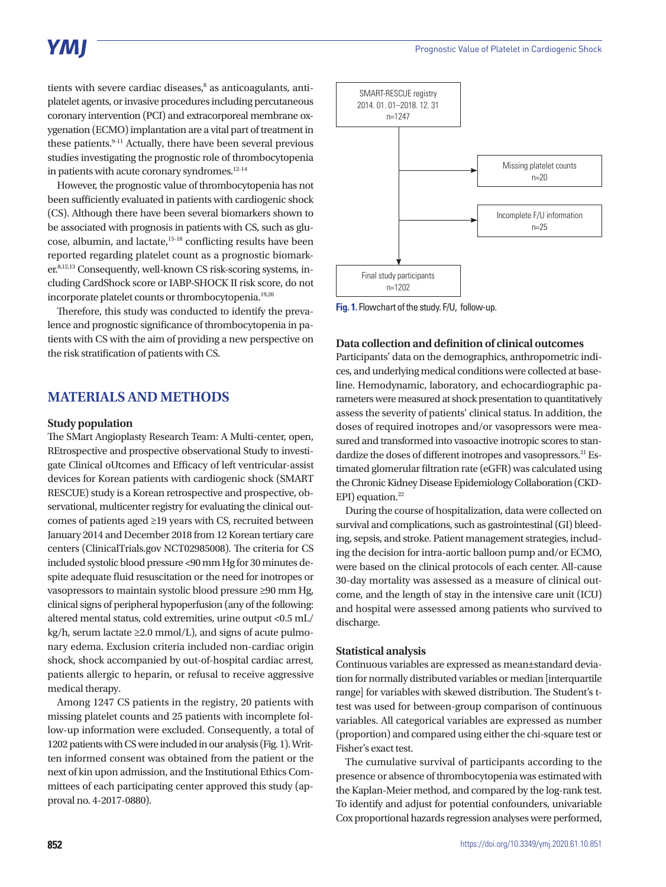# YMI

tients with severe cardiac diseases,<sup>8</sup> as anticoagulants, antiplatelet agents, or invasive procedures including percutaneous coronary intervention (PCI) and extracorporeal membrane oxygenation (ECMO) implantation are a vital part of treatment in these patients.<sup>9-11</sup> Actually, there have been several previous studies investigating the prognostic role of thrombocytopenia in patients with acute coronary syndromes.<sup>12-14</sup>

However, the prognostic value of thrombocytopenia has not been sufficiently evaluated in patients with cardiogenic shock (CS). Although there have been several biomarkers shown to be associated with prognosis in patients with CS, such as glucose, albumin, and lactate,<sup>15-18</sup> conflicting results have been reported regarding platelet count as a prognostic biomarker.8,12,13 Consequently, well-known CS risk-scoring systems, including CardShock score or IABP-SHOCK II risk score, do not incorporate platelet counts or thrombocytopenia.<sup>19,20</sup>

Therefore, this study was conducted to identify the prevalence and prognostic significance of thrombocytopenia in patients with CS with the aim of providing a new perspective on the risk stratification of patients with CS.

## **MATERIALS AND METHODS**

#### **Study population**

The SMart Angioplasty Research Team: A Multi-center, open, REtrospective and prospective observational Study to investigate Clinical oUtcomes and Efficacy of left ventricular-assist devices for Korean patients with cardiogenic shock (SMART RESCUE) study is a Korean retrospective and prospective, observational, multicenter registry for evaluating the clinical outcomes of patients aged ≥19 years with CS, recruited between January 2014 and December 2018 from 12 Korean tertiary care centers (ClinicalTrials.gov NCT02985008). The criteria for CS included systolic blood pressure <90 mm Hg for 30 minutes despite adequate fluid resuscitation or the need for inotropes or vasopressors to maintain systolic blood pressure ≥90 mm Hg, clinical signs of peripheral hypoperfusion (any of the following: altered mental status, cold extremities, urine output <0.5 mL/ kg/h, serum lactate  $\geq 2.0$  mmol/L), and signs of acute pulmonary edema. Exclusion criteria included non-cardiac origin shock, shock accompanied by out-of-hospital cardiac arrest, patients allergic to heparin, or refusal to receive aggressive medical therapy.

Among 1247 CS patients in the registry, 20 patients with missing platelet counts and 25 patients with incomplete follow-up information were excluded. Consequently, a total of 1202 patients with CS were included in our analysis (Fig. 1). Written informed consent was obtained from the patient or the next of kin upon admission, and the Institutional Ethics Committees of each participating center approved this study (approval no. 4-2017-0880).



**Fig. 1.** Flowchart of the study. F/U, follow-up.

### **Data collection and definition of clinical outcomes**

Participants' data on the demographics, anthropometric indices, and underlying medical conditions were collected at baseline. Hemodynamic, laboratory, and echocardiographic parameters were measured at shock presentation to quantitatively assess the severity of patients' clinical status. In addition, the doses of required inotropes and/or vasopressors were measured and transformed into vasoactive inotropic scores to standardize the doses of different inotropes and vasopressors.<sup>21</sup> Estimated glomerular filtration rate (eGFR) was calculated using the Chronic Kidney Disease Epidemiology Collaboration (CKD-EPI) equation.<sup>22</sup>

During the course of hospitalization, data were collected on survival and complications, such as gastrointestinal (GI) bleeding, sepsis, and stroke. Patient management strategies, including the decision for intra-aortic balloon pump and/or ECMO, were based on the clinical protocols of each center. All-cause 30-day mortality was assessed as a measure of clinical outcome, and the length of stay in the intensive care unit (ICU) and hospital were assessed among patients who survived to discharge.

#### **Statistical analysis**

Continuous variables are expressed as mean±standard deviation for normally distributed variables or median [interquartile range] for variables with skewed distribution. The Student's ttest was used for between-group comparison of continuous variables. All categorical variables are expressed as number (proportion) and compared using either the chi-square test or Fisher's exact test.

The cumulative survival of participants according to the presence or absence of thrombocytopenia was estimated with the Kaplan-Meier method, and compared by the log-rank test. To identify and adjust for potential confounders, univariable Cox proportional hazards regression analyses were performed,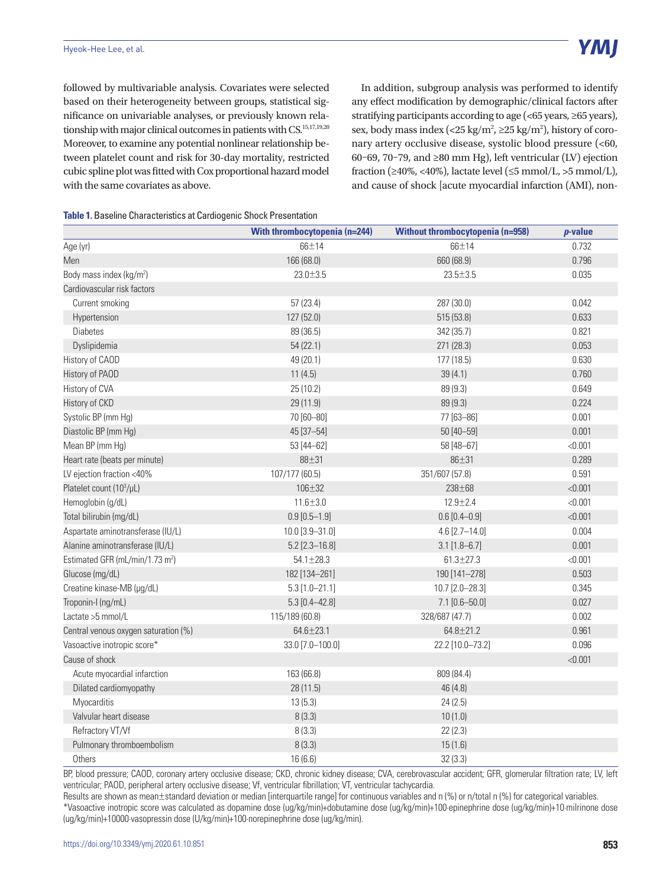followed by multivariable analysis. Covariates were selected based on their heterogeneity between groups, statistical significance on univariable analyses, or previously known relationship with major clinical outcomes in patients with CS.<sup>15,17,19,20</sup> Moreover, to examine any potential nonlinear relationship between platelet count and risk for 30-day mortality, restricted cubic spline plot was fitted with Cox proportional hazard model with the same covariates as above.

In addition, subgroup analysis was performed to identify any effect modification by demographic/clinical factors after stratifying participants according to age (<65 years, ≥65 years), sex, body mass index (<25 kg/m<sup>2</sup>,  $\geq$ 25 kg/m<sup>2</sup>), history of coronary artery occlusive disease, systolic blood pressure (<60, 60–69, 70–79, and ≥80 mm Hg), left ventricular (LV) ejection fraction ( $\geq 40\%$ , <40%), lactate level ( $\leq 5$  mmol/L,  $>5$  mmol/L), and cause of shock [acute myocardial infarction (AMI), non-

| Table 1. Baseline Characteristics at Cardiogenic Shock Presentation |  |
|---------------------------------------------------------------------|--|
|---------------------------------------------------------------------|--|

|                                             | With thrombocytopenia (n=244) | <b>Without thrombocytopenia (n=958)</b> | <i>p</i> -value |
|---------------------------------------------|-------------------------------|-----------------------------------------|-----------------|
| Age (yr)                                    | 66±14                         | 66±14                                   | 0.732           |
| Men                                         | 166 (68.0)                    | 660 (68.9)                              | 0.796           |
| Body mass index (kg/m <sup>2</sup> )        | 23.0±3.5                      | $23.5 \pm 3.5$                          | 0.035           |
| Cardiovascular risk factors                 |                               |                                         |                 |
| Current smoking                             | 57(23.4)                      | 287 (30.0)                              | 0.042           |
| Hypertension                                | 127 (52.0)                    | 515 (53.8)                              | 0.633           |
| <b>Diabetes</b>                             | 89 (36.5)                     | 342 (35.7)                              | 0.821           |
| Dyslipidemia                                | 54(22.1)                      | 271 (28.3)                              | 0.053           |
| History of CAOD                             | 49 (20.1)                     | 177 (18.5)                              | 0.630           |
| History of PAOD                             | 11(4.5)                       | 39(4.1)                                 | 0.760           |
| History of CVA                              | 25 (10.2)                     | 89 (9.3)                                | 0.649           |
| History of CKD                              | 29 (11.9)                     | 89 (9.3)                                | 0.224           |
| Systolic BP (mm Hg)                         | 70 [60-80]                    | 77 [63-86]                              | 0.001           |
| Diastolic BP (mm Hg)                        | 45 [37-54]                    | 50 [40-59]                              | 0.001           |
| Mean BP (mm Hg)                             | 53 [44-62]                    | 58 [48-67]                              | < 0.001         |
| Heart rate (beats per minute)               | 88±31                         | $86 + 31$                               | 0.289           |
| LV ejection fraction <40%                   | 107/177 (60.5)                | 351/607 (57.8)                          | 0.591           |
| Platelet count (10 <sup>3</sup> /µL)        | 106±32                        | 238±68                                  | < 0.001         |
| Hemoglobin (g/dL)                           | $11.6 \pm 3.0$                | $12.9 + 2.4$                            | < 0.001         |
| Total bilirubin (mg/dL)                     | $0.9 [0.5 - 1.9]$             | $0.6 [0.4 - 0.9]$                       | < 0.001         |
| Aspartate aminotransferase (IU/L)           | 10.0 [3.9-31.0]               | $4.6$ [2.7-14.0]                        | 0.004           |
| Alanine aminotransferase (IU/L)             | $5.2$ [2.3-16.8]              | $3.1$ [1.8-6.7]                         | 0.001           |
| Estimated GFR (mL/min/1.73 m <sup>2</sup> ) | $54.1 \pm 28.3$               | $61.3 \pm 27.3$                         | < 0.001         |
| Glucose (mg/dL)                             | 182 [134-261]                 | 190 [141-278]                           | 0.503           |
| Creatine kinase-MB (µg/dL)                  | $5.3 [1.0 - 21.1]$            | 10.7 [2.0-28.3]                         | 0.345           |
| Troponin-I (ng/mL)                          | $5.3$ [0.4-42.8]              | $7.1$ [0.6-50.0]                        | 0.027           |
| Lactate > 5 mmol/L                          | 115/189 (60.8)                | 328/687 (47.7)                          | 0.002           |
| Central venous oxygen saturation (%)        | $64.6 + 23.1$                 | $64.8 \pm 21.2$                         | 0.961           |
| Vasoactive inotropic score*                 | 33.0 [7.0-100.0]              | 22.2 [10.0-73.2]                        | 0.096           |
| Cause of shock                              |                               |                                         | < 0.001         |
| Acute myocardial infarction                 | 163 (66.8)                    | 809 (84.4)                              |                 |
| Dilated cardiomyopathy                      | 28 (11.5)                     | 46 (4.8)                                |                 |
| <b>Myocarditis</b>                          | 13(5.3)                       | 24(2.5)                                 |                 |
| Valvular heart disease                      | 8(3.3)                        | 10(1.0)                                 |                 |
| Refractory VT/Vf                            | 8(3.3)                        | 22(2.3)                                 |                 |
| Pulmonary thromboembolism                   | 8(3.3)                        | 15(1.6)                                 |                 |
| <b>Others</b>                               | 16(6.6)                       | 32(3.3)                                 |                 |

BP, blood pressure; CAOD, coronary artery occlusive disease; CKD, chronic kidney disease; CVA, cerebrovascular accident; GFR, glomerular filtration rate; LV, left ventricular; PAOD, peripheral artery occlusive disease; Vf, ventricular fibrillation; VT, ventricular tachycardia.

Results are shown as mean±standard deviation or median [interquartile range] for continuous variables and n (%) or n/total n (%) for categorical variables. \*Vasoactive inotropic score was calculated as dopamine dose (ug/kg/min)+dobutamine dose (ug/kg/min)+100∙epinephrine dose (ug/kg/min)+10∙milrinone dose (ug/kg/min)+10000∙vasopressin dose (U/kg/min)+100∙norepinephrine dose (ug/kg/min).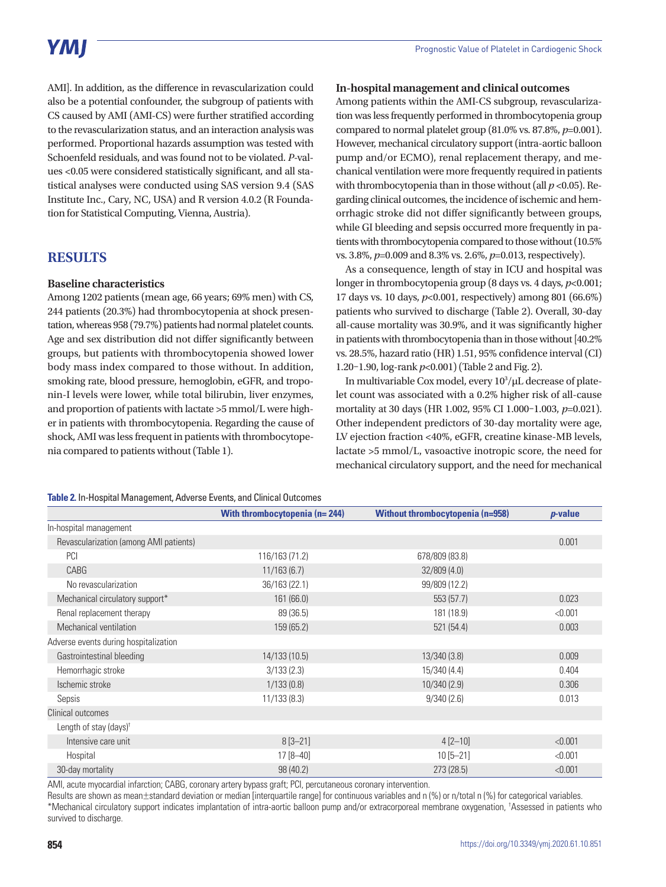# YMI

AMI]. In addition, as the difference in revascularization could also be a potential confounder, the subgroup of patients with CS caused by AMI (AMI-CS) were further stratified according to the revascularization status, and an interaction analysis was performed. Proportional hazards assumption was tested with Schoenfeld residuals, and was found not to be violated. *P*-values <0.05 were considered statistically significant, and all statistical analyses were conducted using SAS version 9.4 (SAS Institute Inc., Cary, NC, USA) and R version 4.0.2 (R Foundation for Statistical Computing, Vienna, Austria).

## **RESULTS**

#### **Baseline characteristics**

Among 1202 patients (mean age, 66 years; 69% men) with CS, 244 patients (20.3%) had thrombocytopenia at shock presentation, whereas 958 (79.7%) patients had normal platelet counts. Age and sex distribution did not differ significantly between groups, but patients with thrombocytopenia showed lower body mass index compared to those without. In addition, smoking rate, blood pressure, hemoglobin, eGFR, and troponin-I levels were lower, while total bilirubin, liver enzymes, and proportion of patients with lactate >5 mmol/L were higher in patients with thrombocytopenia. Regarding the cause of shock, AMI was less frequent in patients with thrombocytopenia compared to patients without (Table 1).

#### **In-hospital management and clinical outcomes**

Among patients within the AMI-CS subgroup, revascularization was less frequently performed in thrombocytopenia group compared to normal platelet group (81.0% vs. 87.8%, *p*=0.001). However, mechanical circulatory support (intra-aortic balloon pump and/or ECMO), renal replacement therapy, and mechanical ventilation were more frequently required in patients with thrombocytopenia than in those without (all  $p < 0.05$ ). Regarding clinical outcomes, the incidence of ischemic and hemorrhagic stroke did not differ significantly between groups, while GI bleeding and sepsis occurred more frequently in patients with thrombocytopenia compared to those without (10.5% vs. 3.8%, *p*=0.009 and 8.3% vs. 2.6%, *p*=0.013, respectively).

As a consequence, length of stay in ICU and hospital was longer in thrombocytopenia group (8 days vs. 4 days, *p*<0.001; 17 days vs. 10 days, *p*<0.001, respectively) among 801 (66.6%) patients who survived to discharge (Table 2). Overall, 30-day all-cause mortality was 30.9%, and it was significantly higher in patients with thrombocytopenia than in those without [40.2% vs. 28.5%, hazard ratio (HR) 1.51, 95% confidence interval (CI) 1.20–1.90, log-rank *p*<0.001) (Table 2 and Fig. 2).

In multivariable Cox model, every  $10^3/\mu$ L decrease of platelet count was associated with a 0.2% higher risk of all-cause mortality at 30 days (HR 1.002, 95% CI 1.000–1.003, *p*=0.021). Other independent predictors of 30-day mortality were age, LV ejection fraction <40%, eGFR, creatine kinase-MB levels, lactate >5 mmol/L, vasoactive inotropic score, the need for mechanical circulatory support, and the need for mechanical

#### **Table 2.** In-Hospital Management, Adverse Events, and Clinical Outcomes

|                                        | With thrombocytopenia (n=244) | <b>Without thrombocytopenia (n=958)</b> | $p$ -value |
|----------------------------------------|-------------------------------|-----------------------------------------|------------|
| In-hospital management                 |                               |                                         |            |
| Revascularization (among AMI patients) |                               |                                         | 0.001      |
| PCI                                    | 116/163 (71.2)                | 678/809 (83.8)                          |            |
| CABG                                   | 11/163(6.7)                   | 32/809(4.0)                             |            |
| No revascularization                   | 36/163 (22.1)                 | 99/809 (12.2)                           |            |
| Mechanical circulatory support*        | 161(66.0)                     | 553 (57.7)                              | 0.023      |
| Renal replacement therapy              | 89 (36.5)                     | 181 (18.9)                              | < 0.001    |
| Mechanical ventilation                 | 159 (65.2)                    | 521 (54.4)                              | 0.003      |
| Adverse events during hospitalization  |                               |                                         |            |
| Gastrointestinal bleeding              | 14/133 (10.5)                 | 13/340(3.8)                             | 0.009      |
| Hemorrhagic stroke                     | 3/133(2.3)                    | 15/340 (4.4)                            | 0.404      |
| Ischemic stroke                        | 1/133(0.8)                    | 10/340(2.9)                             | 0.306      |
| Sepsis                                 | 11/133(8.3)                   | 9/340(2.6)                              | 0.013      |
| Clinical outcomes                      |                               |                                         |            |
| Length of stay (days) <sup>†</sup>     |                               |                                         |            |
| Intensive care unit                    | $8[3 - 21]$                   | $4 [2 - 10]$                            | < 0.001    |
| Hospital                               | $17[8 - 40]$                  | $10[5 - 21]$                            | < 0.001    |
| 30-day mortality                       | 98 (40.2)                     | 273 (28.5)                              | < 0.001    |

AMI, acute myocardial infarction; CABG, coronary artery bypass graft; PCI, percutaneous coronary intervention.

Results are shown as mean±standard deviation or median [interquartile range] for continuous variables and n (%) or n/total n (%) for categorical variables. \*Mechanical circulatory support indicates implantation of intra-aortic balloon pump and/or extracorporeal membrane oxygenation, † Assessed in patients who survived to discharge.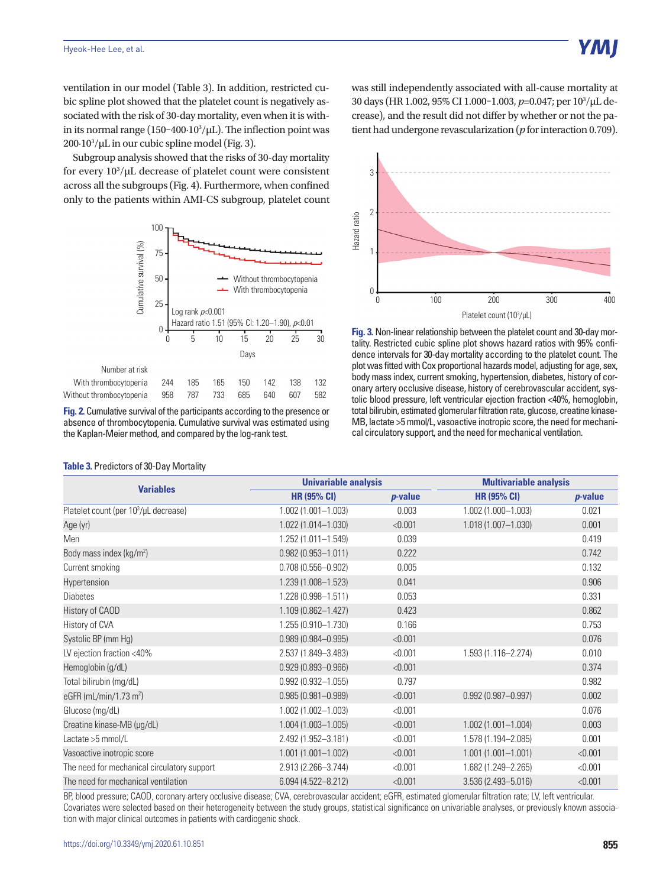ventilation in our model (Table 3). In addition, restricted cubic spline plot showed that the platelet count is negatively associated with the risk of 30-day mortality, even when it is within its normal range (150-400∙10<sup>3</sup>/μL). The inflection point was 200∙103 /µL in our cubic spline model (Fig. 3).

Subgroup analysis showed that the risks of 30-day mortality for every  $10^3/\mu$ L decrease of platelet count were consistent across all the subgroups (Fig. 4). Furthermore, when confined only to the patients within AMI-CS subgroup, platelet count



**Fig. 2.** Cumulative survival of the participants according to the presence or absence of thrombocytopenia. Cumulative survival was estimated using the Kaplan-Meier method, and compared by the log-rank test.

| Hazard ratio | 3<br>2 |  |  |  |     |  |  |  |  |  |     |                         |  |  |  |  |  |     |  |  |  |  |  |     |
|--------------|--------|--|--|--|-----|--|--|--|--|--|-----|-------------------------|--|--|--|--|--|-----|--|--|--|--|--|-----|
|              |        |  |  |  |     |  |  |  |  |  |     |                         |  |  |  |  |  |     |  |  |  |  |  |     |
|              |        |  |  |  | 100 |  |  |  |  |  | 200 |                         |  |  |  |  |  | 300 |  |  |  |  |  | 400 |
|              |        |  |  |  |     |  |  |  |  |  |     | Platelet count (103/µL) |  |  |  |  |  |     |  |  |  |  |  |     |

was still independently associated with all-cause mortality at 30 days (HR 1.002, 95% CI 1.000-1.003, p=0.047; per 10<sup>3</sup>/µL decrease), and the result did not differ by whether or not the patient had undergone revascularization (*p* for interaction 0.709).

**Fig. 3.** Non-linear relationship between the platelet count and 30-day mortality. Restricted cubic spline plot shows hazard ratios with 95% confidence intervals for 30-day mortality according to the platelet count. The plot was fitted with Cox proportional hazards model, adjusting for age, sex, body mass index, current smoking, hypertension, diabetes, history of coronary artery occlusive disease, history of cerebrovascular accident, systolic blood pressure, left ventricular ejection fraction <40%, hemoglobin, total bilirubin, estimated glomerular filtration rate, glucose, creatine kinase-MB, lactate >5 mmol/L, vasoactive inotropic score, the need for mechanical circulatory support, and the need for mechanical ventilation.

| <b>Variables</b>                                  | <b>Univariable analysis</b> |                 | <b>Multivariable analysis</b> |            |  |  |  |  |  |  |
|---------------------------------------------------|-----------------------------|-----------------|-------------------------------|------------|--|--|--|--|--|--|
|                                                   | <b>HR (95% CI)</b>          | <i>p</i> -value | <b>HR (95% CI)</b>            | $p$ -value |  |  |  |  |  |  |
| Platelet count (per 10 <sup>3</sup> /µL decrease) | $1.002(1.001 - 1.003)$      | 0.003           | 1.002 (1.000-1.003)           | 0.021      |  |  |  |  |  |  |
| Age (yr)                                          | 1.022 (1.014-1.030)         | < 0.001         | $1.018(1.007 - 1.030)$        | 0.001      |  |  |  |  |  |  |
| Men                                               | 1.252 (1.011-1.549)         | 0.039           |                               | 0.419      |  |  |  |  |  |  |
| Body mass index (kg/m <sup>2</sup> )              | $0.982(0.953 - 1.011)$      | 0.222           |                               | 0.742      |  |  |  |  |  |  |
| Current smoking                                   | $0.708(0.556 - 0.902)$      | 0.005           |                               | 0.132      |  |  |  |  |  |  |
| Hypertension                                      | 1.239 (1.008-1.523)         | 0.041           |                               | 0.906      |  |  |  |  |  |  |
| <b>Diabetes</b>                                   | 1.228 (0.998-1.511)         | 0.053           |                               | 0.331      |  |  |  |  |  |  |
| <b>History of CAOD</b>                            | $1.109(0.862 - 1.427)$      | 0.423           |                               | 0.862      |  |  |  |  |  |  |
| History of CVA                                    | 1.255 (0.910-1.730)         | 0.166           |                               | 0.753      |  |  |  |  |  |  |
| Systolic BP (mm Hg)                               | $0.989(0.984 - 0.995)$      | < 0.001         |                               | 0.076      |  |  |  |  |  |  |
| LV ejection fraction <40%                         | 2.537 (1.849-3.483)         | < 0.001         | 1.593 (1.116-2.274)           | 0.010      |  |  |  |  |  |  |
| Hemoglobin (g/dL)                                 | $0.929(0.893 - 0.966)$      | < 0.001         |                               | 0.374      |  |  |  |  |  |  |
| Total bilirubin (mg/dL)                           | $0.992(0.932 - 1.055)$      | 0.797           |                               | 0.982      |  |  |  |  |  |  |
| eGFR (mL/min/1.73 $\text{m}^2$ )                  | $0.985(0.981 - 0.989)$      | < 0.001         | $0.992(0.987 - 0.997)$        | 0.002      |  |  |  |  |  |  |
| Glucose (mg/dL)                                   | 1.002 (1.002-1.003)         | < 0.001         |                               | 0.076      |  |  |  |  |  |  |
| Creatine kinase-MB (µg/dL)                        | $1.004(1.003 - 1.005)$      | < 0.001         | $1.002(1.001 - 1.004)$        | 0.003      |  |  |  |  |  |  |
| Lactate > 5 mmol/L                                | 2.492 (1.952-3.181)         | < 0.001         | 1.578 (1.194-2.085)           | 0.001      |  |  |  |  |  |  |
| Vasoactive inotropic score                        | $1.001(1.001 - 1.002)$      | < 0.001         | $1.001(1.001 - 1.001)$        | < 0.001    |  |  |  |  |  |  |
| The need for mechanical circulatory support       | 2.913 (2.266-3.744)         | < 0.001         | 1.682 (1.249-2.265)           | < 0.001    |  |  |  |  |  |  |
| The need for mechanical ventilation               | 6.094 (4.522-8.212)         | < 0.001         | 3.536 (2.493-5.016)           | < 0.001    |  |  |  |  |  |  |

BP, blood pressure; CAOD, coronary artery occlusive disease; CVA, cerebrovascular accident; eGFR, estimated glomerular filtration rate; LV, left ventricular. Covariates were selected based on their heterogeneity between the study groups, statistical significance on univariable analyses, or previously known association with major clinical outcomes in patients with cardiogenic shock.

#### **Table 3.** Predictors of 30-Day Mortality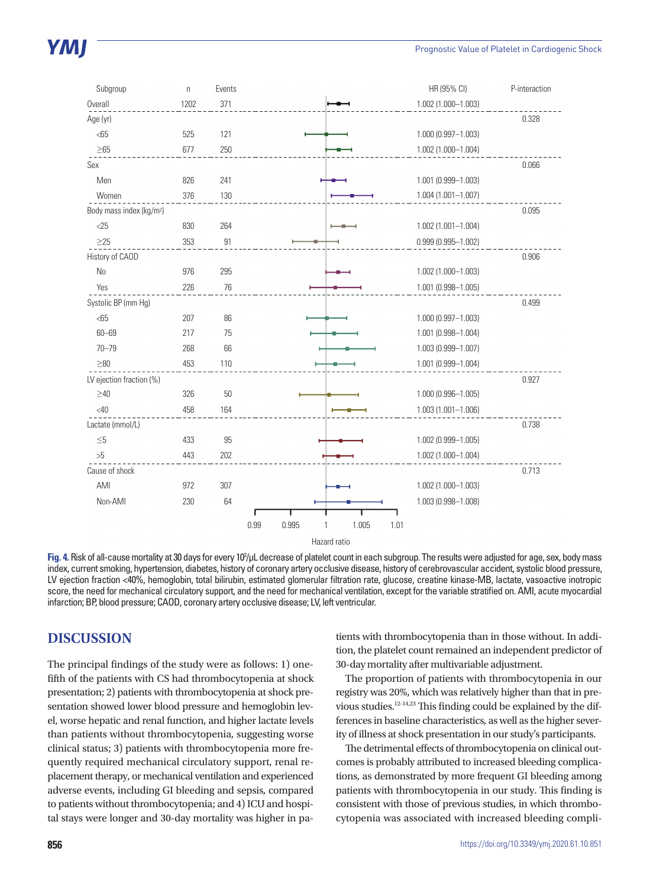| Subgroup                             | $\boldsymbol{\mathsf{n}}$ | Events |                                | HR (95% CI)            | P-interaction |
|--------------------------------------|---------------------------|--------|--------------------------------|------------------------|---------------|
| Overall                              | 1202                      | 371    |                                | 1.002 (1.000-1.003)    |               |
| Age (yr)                             |                           |        |                                |                        | 0.328         |
| < 65                                 | 525                       | 121    |                                | 1.000 (0.997-1.003)    |               |
| $\geq 65$                            | 677                       | 250    |                                | 1.002 (1.000-1.004)    |               |
| Sex                                  |                           |        |                                |                        | 0.066         |
| Men                                  | 826                       | 241    |                                | 1.001 (0.999-1.003)    |               |
| Women                                | 376                       | 130    |                                | $1.004(1.001 - 1.007)$ |               |
| Body mass index (kg/m <sup>2</sup> ) |                           |        |                                |                        | 0.095         |
| $<$ 25                               | 830                       | 264    |                                | $1.002(1.001 - 1.004)$ |               |
| $\geq$ 25                            | 353                       | 91     |                                | $0.999(0.995 - 1.002)$ |               |
| History of CAOD                      |                           |        |                                |                        | 0.906         |
| <b>No</b>                            | 976                       | 295    |                                | 1.002 (1.000-1.003)    |               |
| Yes                                  | 226                       | 76     |                                | 1.001 (0.998-1.005)    |               |
| Systolic BP (mm Hg)                  |                           |        |                                |                        | 0.499         |
| $65$                                 | 207                       | 86     |                                | 1.000 (0.997-1.003)    |               |
| $60 - 69$                            | 217                       | 75     |                                | 1.001 (0.998-1.004)    |               |
| $70 - 79$                            | 268                       | 66     |                                | 1.003 (0.999-1.007)    |               |
| $\geq 80$                            | 453                       | 110    |                                | 1.001 (0.999-1.004)    |               |
| LV ejection fraction (%)             |                           |        |                                |                        | 0.927         |
| $\geq 40$                            | 326                       | 50     |                                | 1.000 (0.996-1.005)    |               |
| <40                                  | 458                       | 164    |                                | 1.003 (1.001-1.006)    |               |
| Lactate (mmol/L)                     |                           |        |                                |                        | 0.738         |
| $\leq\!\!5$                          | 433                       | 95     |                                | 1.002 (0.999-1.005)    |               |
| $>5$                                 | 443                       | 202    |                                | 1.002 (1.000-1.004)    |               |
| Cause of shock                       |                           |        |                                |                        | 0.713         |
| AMI                                  | 972                       | 307    |                                | 1.002 (1.000-1.003)    |               |
| Non-AMI                              | 230                       | 64     |                                | 1.003 (0.998-1.008)    |               |
|                                      |                           |        |                                |                        |               |
|                                      |                           |        | 0.99<br>0.995<br>1.005<br>1.01 |                        |               |
|                                      |                           |        | Hazard ratio                   |                        |               |

Fig. 4. Risk of all-cause mortality at 30 days for every 10<sup>3</sup>/µL decrease of platelet count in each subgroup. The results were adjusted for age, sex, body mass index, current smoking, hypertension, diabetes, history of coronary artery occlusive disease, history of cerebrovascular accident, systolic blood pressure, LV ejection fraction <40%, hemoglobin, total bilirubin, estimated glomerular filtration rate, glucose, creatine kinase-MB, lactate, vasoactive inotropic score, the need for mechanical circulatory support, and the need for mechanical ventilation, except for the variable stratified on. AMI, acute myocardial infarction; BP, blood pressure; CAOD, coronary artery occlusive disease; LV, left ventricular.

### **DISCUSSION**

The principal findings of the study were as follows: 1) onefifth of the patients with CS had thrombocytopenia at shock presentation; 2) patients with thrombocytopenia at shock presentation showed lower blood pressure and hemoglobin level, worse hepatic and renal function, and higher lactate levels than patients without thrombocytopenia, suggesting worse clinical status; 3) patients with thrombocytopenia more frequently required mechanical circulatory support, renal replacement therapy, or mechanical ventilation and experienced adverse events, including GI bleeding and sepsis, compared to patients without thrombocytopenia; and 4) ICU and hospital stays were longer and 30-day mortality was higher in patients with thrombocytopenia than in those without. In addition, the platelet count remained an independent predictor of 30-day mortality after multivariable adjustment.

The proportion of patients with thrombocytopenia in our registry was 20%, which was relatively higher than that in previous studies.12-14,23 This finding could be explained by the differences in baseline characteristics, as well as the higher severity of illness at shock presentation in our study's participants.

The detrimental effects of thrombocytopenia on clinical outcomes is probably attributed to increased bleeding complications, as demonstrated by more frequent GI bleeding among patients with thrombocytopenia in our study. This finding is consistent with those of previous studies, in which thrombocytopenia was associated with increased bleeding compli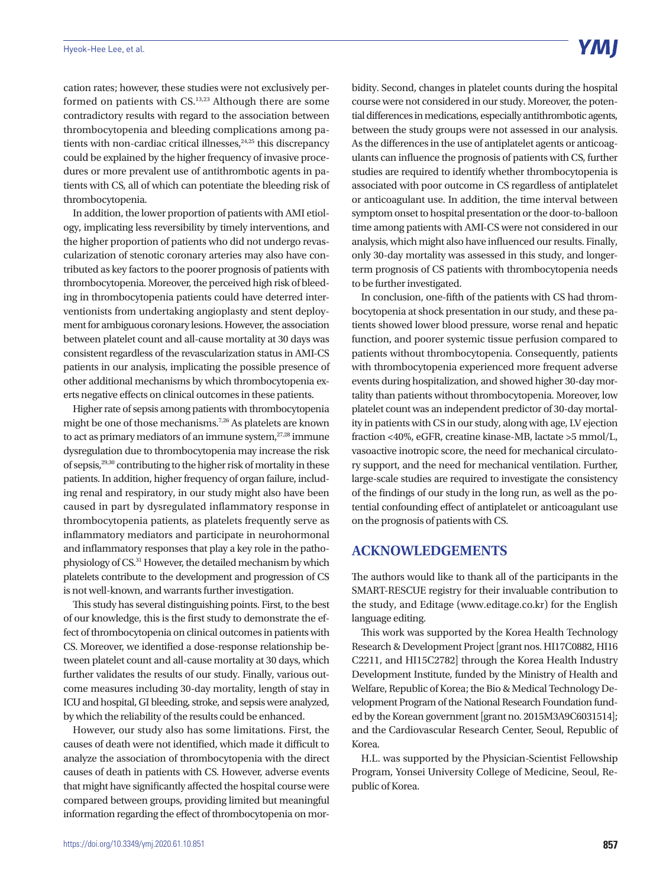cation rates; however, these studies were not exclusively performed on patients with CS.13,23 Although there are some contradictory results with regard to the association between thrombocytopenia and bleeding complications among patients with non-cardiac critical illnesses,<sup>24,25</sup> this discrepancy could be explained by the higher frequency of invasive procedures or more prevalent use of antithrombotic agents in patients with CS, all of which can potentiate the bleeding risk of thrombocytopenia.

In addition, the lower proportion of patients with AMI etiology, implicating less reversibility by timely interventions, and the higher proportion of patients who did not undergo revascularization of stenotic coronary arteries may also have contributed as key factors to the poorer prognosis of patients with thrombocytopenia. Moreover, the perceived high risk of bleeding in thrombocytopenia patients could have deterred interventionists from undertaking angioplasty and stent deployment for ambiguous coronary lesions. However, the association between platelet count and all-cause mortality at 30 days was consistent regardless of the revascularization status in AMI-CS patients in our analysis, implicating the possible presence of other additional mechanisms by which thrombocytopenia exerts negative effects on clinical outcomes in these patients.

Higher rate of sepsis among patients with thrombocytopenia might be one of those mechanisms.7,26 As platelets are known to act as primary mediators of an immune system, $27,28$  immune dysregulation due to thrombocytopenia may increase the risk of sepsis,29,30 contributing to the higher risk of mortality in these patients. In addition, higher frequency of organ failure, including renal and respiratory, in our study might also have been caused in part by dysregulated inflammatory response in thrombocytopenia patients, as platelets frequently serve as inflammatory mediators and participate in neurohormonal and inflammatory responses that play a key role in the pathophysiology of CS.31 However, the detailed mechanism by which platelets contribute to the development and progression of CS is not well-known, and warrants further investigation.

This study has several distinguishing points. First, to the best of our knowledge, this is the first study to demonstrate the effect of thrombocytopenia on clinical outcomes in patients with CS. Moreover, we identified a dose-response relationship between platelet count and all-cause mortality at 30 days, which further validates the results of our study. Finally, various outcome measures including 30-day mortality, length of stay in ICU and hospital, GI bleeding, stroke, and sepsis were analyzed, by which the reliability of the results could be enhanced.

However, our study also has some limitations. First, the causes of death were not identified, which made it difficult to analyze the association of thrombocytopenia with the direct causes of death in patients with CS. However, adverse events that might have significantly affected the hospital course were compared between groups, providing limited but meaningful information regarding the effect of thrombocytopenia on morbidity. Second, changes in platelet counts during the hospital course were not considered in our study. Moreover, the potential differences in medications, especially antithrombotic agents, between the study groups were not assessed in our analysis. As the differences in the use of antiplatelet agents or anticoagulants can influence the prognosis of patients with CS, further studies are required to identify whether thrombocytopenia is associated with poor outcome in CS regardless of antiplatelet or anticoagulant use. In addition, the time interval between symptom onset to hospital presentation or the door-to-balloon time among patients with AMI-CS were not considered in our analysis, which might also have influenced our results. Finally, only 30-day mortality was assessed in this study, and longerterm prognosis of CS patients with thrombocytopenia needs to be further investigated.

In conclusion, one-fifth of the patients with CS had thrombocytopenia at shock presentation in our study, and these patients showed lower blood pressure, worse renal and hepatic function, and poorer systemic tissue perfusion compared to patients without thrombocytopenia. Consequently, patients with thrombocytopenia experienced more frequent adverse events during hospitalization, and showed higher 30-day mortality than patients without thrombocytopenia. Moreover, low platelet count was an independent predictor of 30-day mortality in patients with CS in our study, along with age, LV ejection fraction <40%, eGFR, creatine kinase-MB, lactate >5 mmol/L, vasoactive inotropic score, the need for mechanical circulatory support, and the need for mechanical ventilation. Further, large-scale studies are required to investigate the consistency of the findings of our study in the long run, as well as the potential confounding effect of antiplatelet or anticoagulant use on the prognosis of patients with CS.

## **ACKNOWLEDGEMENTS**

The authors would like to thank all of the participants in the SMART-RESCUE registry for their invaluable contribution to the study, and Editage (www.editage.co.kr) for the English language editing.

This work was supported by the Korea Health Technology Research & Development Project [grant nos. HI17C0882, HI16 C2211, and HI15C2782] through the Korea Health Industry Development Institute, funded by the Ministry of Health and Welfare, Republic of Korea; the Bio & Medical Technology Development Program of the National Research Foundation funded by the Korean government [grant no. 2015M3A9C6031514]; and the Cardiovascular Research Center, Seoul, Republic of Korea.

H.L. was supported by the Physician-Scientist Fellowship Program, Yonsei University College of Medicine, Seoul, Republic of Korea.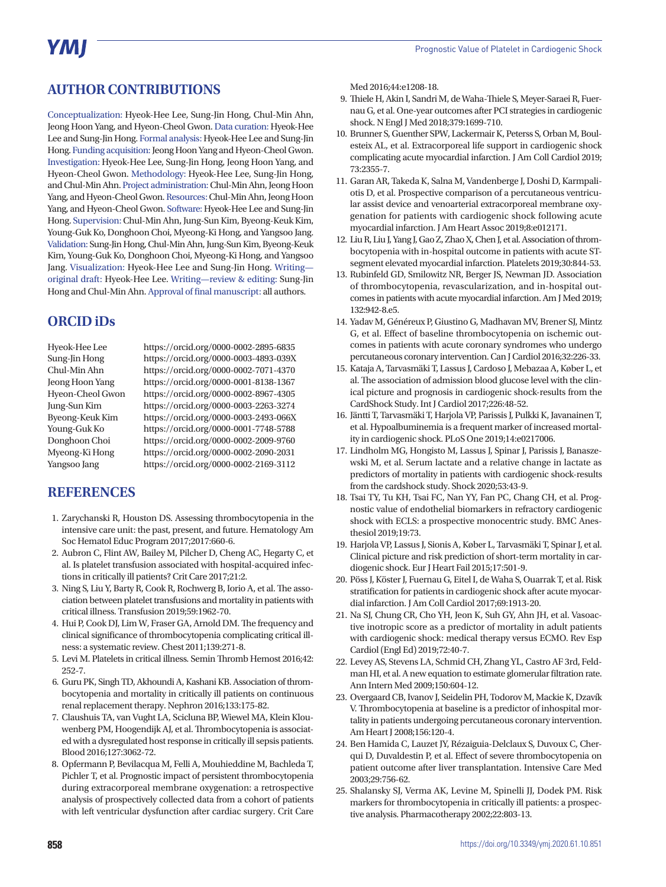# **AUTHOR CONTRIBUTIONS**

Conceptualization: Hyeok-Hee Lee, Sung-Jin Hong, Chul-Min Ahn, Jeong Hoon Yang, and Hyeon-Cheol Gwon. Data curation: Hyeok-Hee Lee and Sung-Jin Hong. Formal analysis: Hyeok-Hee Lee and Sung-Jin Hong. Funding acquisition: Jeong Hoon Yang and Hyeon-Cheol Gwon. Investigation: Hyeok-Hee Lee, Sung-Jin Hong, Jeong Hoon Yang, and Hyeon-Cheol Gwon. Methodology: Hyeok-Hee Lee, Sung-Jin Hong, and Chul-Min Ahn. Project administration: Chul-Min Ahn, Jeong Hoon Yang, and Hyeon-Cheol Gwon. Resources: Chul-Min Ahn, Jeong Hoon Yang, and Hyeon-Cheol Gwon. Software: Hyeok-Hee Lee and Sung-Jin Hong. Supervision: Chul-Min Ahn, Jung-Sun Kim, Byeong-Keuk Kim, Young-Guk Ko, Donghoon Choi, Myeong-Ki Hong, and Yangsoo Jang. Validation: Sung-Jin Hong, Chul-Min Ahn, Jung-Sun Kim, Byeong-Keuk Kim, Young-Guk Ko, Donghoon Choi, Myeong-Ki Hong, and Yangsoo Jang. Visualization: Hyeok-Hee Lee and Sung-Jin Hong. Writing original draft: Hyeok-Hee Lee. Writing—review & editing: Sung-Jin Hong and Chul-Min Ahn. Approval of final manuscript: all authors.

## **ORCID iDs**

Hyeok-Hee Lee https://orcid.org/0000-0002-2895-6835 Sung-Jin Hong https://orcid.org/0000-0003-4893-039X Chul-Min Ahn https://orcid.org/0000-0002-7071-4370 Jeong Hoon Yang https://orcid.org/0000-0001-8138-1367 Hyeon-Cheol Gwon https://orcid.org/0000-0002-8967-4305 Jung-Sun Kim https://orcid.org/0000-0003-2263-3274 Byeong-Keuk Kim https://orcid.org/0000-0003-2493-066X Young-Guk Ko https://orcid.org/0000-0001-7748-5788 Donghoon Choi https://orcid.org/0000-0002-2009-9760 Myeong-Ki Hong https://orcid.org/0000-0002-2090-2031 Yangsoo Jang https://orcid.org/0000-0002-2169-3112

### **REFERENCES**

- 1. Zarychanski R, Houston DS. Assessing thrombocytopenia in the intensive care unit: the past, present, and future. Hematology Am Soc Hematol Educ Program 2017;2017:660-6.
- 2. Aubron C, Flint AW, Bailey M, Pilcher D, Cheng AC, Hegarty C, et al. Is platelet transfusion associated with hospital-acquired infections in critically ill patients? Crit Care 2017;21:2.
- 3. Ning S, Liu Y, Barty R, Cook R, Rochwerg B, Iorio A, et al. The association between platelet transfusions and mortality in patients with critical illness. Transfusion 2019;59:1962-70.
- 4. Hui P, Cook DJ, Lim W, Fraser GA, Arnold DM. The frequency and clinical significance of thrombocytopenia complicating critical illness: a systematic review. Chest 2011;139:271-8.
- 5. Levi M. Platelets in critical illness. Semin Thromb Hemost 2016;42: 252-7.
- 6. Guru PK, Singh TD, Akhoundi A, Kashani KB. Association of thrombocytopenia and mortality in critically ill patients on continuous renal replacement therapy. Nephron 2016;133:175-82.
- 7. Claushuis TA, van Vught LA, Scicluna BP, Wiewel MA, Klein Klouwenberg PM, Hoogendijk AJ, et al. Thrombocytopenia is associated with a dysregulated host response in critically ill sepsis patients. Blood 2016;127:3062-72.
- 8. Opfermann P, Bevilacqua M, Felli A, Mouhieddine M, Bachleda T, Pichler T, et al. Prognostic impact of persistent thrombocytopenia during extracorporeal membrane oxygenation: a retrospective analysis of prospectively collected data from a cohort of patients with left ventricular dysfunction after cardiac surgery. Crit Care

Med 2016;44:e1208-18.

- 9. Thiele H, Akin I, Sandri M, de Waha-Thiele S, Meyer-Saraei R, Fuernau G, et al. One-year outcomes after PCI strategies in cardiogenic shock. N Engl J Med 2018;379:1699-710.
- 10. Brunner S, Guenther SPW, Lackermair K, Peterss S, Orban M, Boulesteix AL, et al. Extracorporeal life support in cardiogenic shock complicating acute myocardial infarction. J Am Coll Cardiol 2019; 73:2355-7.
- 11. Garan AR, Takeda K, Salna M, Vandenberge J, Doshi D, Karmpaliotis D, et al. Prospective comparison of a percutaneous ventricular assist device and venoarterial extracorporeal membrane oxygenation for patients with cardiogenic shock following acute myocardial infarction. J Am Heart Assoc 2019;8:e012171.
- 12. Liu R, Liu J, Yang J, Gao Z, Zhao X, Chen J, et al. Association of thrombocytopenia with in-hospital outcome in patients with acute STsegment elevated myocardial infarction. Platelets 2019;30:844-53.
- 13. Rubinfeld GD, Smilowitz NR, Berger JS, Newman JD. Association of thrombocytopenia, revascularization, and in-hospital outcomes in patients with acute myocardial infarction. Am J Med 2019; 132:942-8.e5.
- 14. Yadav M, Généreux P, Giustino G, Madhavan MV, Brener SJ, Mintz G, et al. Effect of baseline thrombocytopenia on ischemic outcomes in patients with acute coronary syndromes who undergo percutaneous coronary intervention. Can J Cardiol 2016;32:226-33.
- 15. Kataja A, Tarvasmäki T, Lassus J, Cardoso J, Mebazaa A, Køber L, et al. The association of admission blood glucose level with the clinical picture and prognosis in cardiogenic shock-results from the CardShock Study. Int J Cardiol 2017;226:48-52.
- 16. Jäntti T, Tarvasmäki T, Harjola VP, Parissis J, Pulkki K, Javanainen T, et al. Hypoalbuminemia is a frequent marker of increased mortality in cardiogenic shock. PLoS One 2019;14:e0217006.
- 17. Lindholm MG, Hongisto M, Lassus J, Spinar J, Parissis J, Banaszewski M, et al. Serum lactate and a relative change in lactate as predictors of mortality in patients with cardiogenic shock-results from the cardshock study. Shock 2020;53:43-9.
- 18. Tsai TY, Tu KH, Tsai FC, Nan YY, Fan PC, Chang CH, et al. Prognostic value of endothelial biomarkers in refractory cardiogenic shock with ECLS: a prospective monocentric study. BMC Anesthesiol 2019;19:73.
- 19. Harjola VP, Lassus J, Sionis A, Køber L, Tarvasmäki T, Spinar J, et al. Clinical picture and risk prediction of short-term mortality in cardiogenic shock. Eur J Heart Fail 2015;17:501-9.
- 20. Pöss J, Köster J, Fuernau G, Eitel I, de Waha S, Ouarrak T, et al. Risk stratification for patients in cardiogenic shock after acute myocardial infarction. J Am Coll Cardiol 2017;69:1913-20.
- 21. Na SJ, Chung CR, Cho YH, Jeon K, Suh GY, Ahn JH, et al. Vasoactive inotropic score as a predictor of mortality in adult patients with cardiogenic shock: medical therapy versus ECMO. Rev Esp Cardiol (Engl Ed) 2019;72:40-7.
- 22. Levey AS, Stevens LA, Schmid CH, Zhang YL, Castro AF 3rd, Feldman HI, et al. A new equation to estimate glomerular filtration rate. Ann Intern Med 2009;150:604-12.
- 23. Overgaard CB, Ivanov J, Seidelin PH, Todorov M, Mackie K, Dzavík V. Thrombocytopenia at baseline is a predictor of inhospital mortality in patients undergoing percutaneous coronary intervention. Am Heart J 2008;156:120-4.
- 24. Ben Hamida C, Lauzet JY, Rézaiguia-Delclaux S, Duvoux C, Cherqui D, Duvaldestin P, et al. Effect of severe thrombocytopenia on patient outcome after liver transplantation. Intensive Care Med 2003;29:756-62.
- 25. Shalansky SJ, Verma AK, Levine M, Spinelli JJ, Dodek PM. Risk markers for thrombocytopenia in critically ill patients: a prospective analysis. Pharmacotherapy 2002;22:803-13.